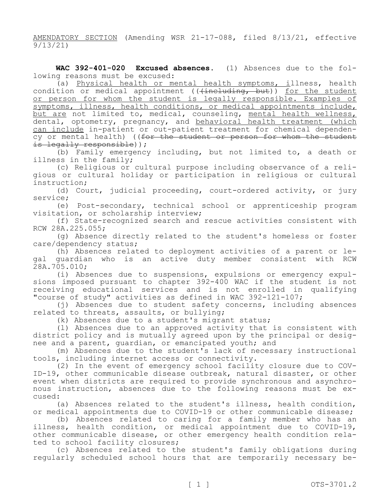AMENDATORY SECTION (Amending WSR 21-17-088, filed 8/13/21, effective 9/13/21)

**WAC 392-401-020 Excused absences.** (1) Absences due to the following reasons must be excused:

(a) Physical health or mental health symptoms, illness, health condition or medical appointment ((<del>(including, but</del>)) <u>for the student</u> or person for whom the student is legally responsible. Examples of symptoms, illness, health conditions, or medical appointments include, but are not limited to, medical, counseling, mental health wellness, dental, optometry, pregnancy, and behavioral health treatment (which can include in-patient or out-patient treatment for chemical dependency or mental health) ((for the student or person for whom the student is legally responsible));

(b) Family emergency including, but not limited to, a death or illness in the family;

(c) Religious or cultural purpose including observance of a religious or cultural holiday or participation in religious or cultural instruction;

(d) Court, judicial proceeding, court-ordered activity, or jury service;

(e) Post-secondary, technical school or apprenticeship program visitation, or scholarship interview;

(f) State-recognized search and rescue activities consistent with RCW 28A.225.055;

(g) Absence directly related to the student's homeless or foster care/dependency status;

(h) Absences related to deployment activities of a parent or legal guardian who is an active duty member consistent with RCW 28A.705.010;

(i) Absences due to suspensions, expulsions or emergency expulsions imposed pursuant to chapter 392-400 WAC if the student is not receiving educational services and is not enrolled in qualifying "course of study" activities as defined in WAC 392-121-107;

(j) Absences due to student safety concerns, including absences related to threats, assaults, or bullying;

(k) Absences due to a student's migrant status;

(l) Absences due to an approved activity that is consistent with district policy and is mutually agreed upon by the principal or designee and a parent, guardian, or emancipated youth; and

(m) Absences due to the student's lack of necessary instructional tools, including internet access or connectivity.

(2) In the event of emergency school facility closure due to COV-ID-19, other communicable disease outbreak, natural disaster, or other event when districts are required to provide synchronous and asynchronous instruction, absences due to the following reasons must be excused:

(a) Absences related to the student's illness, health condition, or medical appointments due to COVID-19 or other communicable disease;

(b) Absences related to caring for a family member who has an illness, health condition, or medical appointment due to COVID-19, other communicable disease, or other emergency health condition related to school facility closures;

(c) Absences related to the student's family obligations during regularly scheduled school hours that are temporarily necessary be-